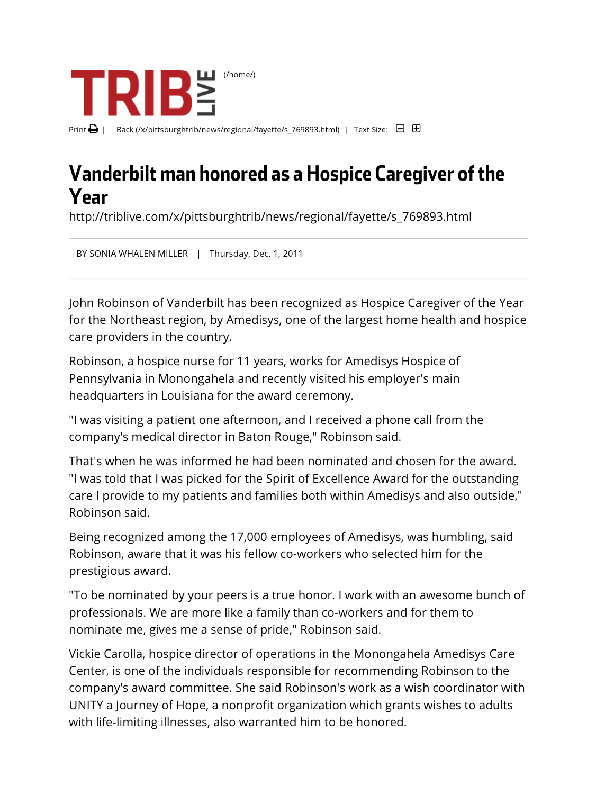

## Vanderbilt man honored as a Hospice Caregiver of the Year

http://triblive.com/x/pittsburghtrib/news/regional/fayette/s\_769893.html

BY SONIA WHALEN MILLER | Thursday, Dec. 1, 2011

John Robinson of Vanderbilt has been recognized as Hospice Caregiver of the Year for the Northeast region, by Amedisys, one of the largest home health and hospice care providers in the country.

Robinson, a hospice nurse for 11 years, works for Amedisys Hospice of Pennsylvania in Monongahela and recently visited his employer's main headquarters in Louisiana for the award ceremony.

"I was visiting a patient one afternoon, and I received a phone call from the company's medical director in Baton Rouge," Robinson said.

That's when he was informed he had been nominated and chosen for the award. "I was told that I was picked for the Spirit of Excellence Award for the outstanding care I provide to my patients and families both within Amedisys and also outside," Robinson said.

Being recognized among the 17,000 employees of Amedisys, was humbling, said Robinson, aware that it was his fellow co-workers who selected him for the prestigious award.

"To be nominated by your peers is a true honor. I work with an awesome bunch of professionals. We are more like a family than co-workers and for them to nominate me, gives me a sense of pride," Robinson said.

Vickie Carolla, hospice director of operations in the Monongahela Amedisys Care Center, is one of the individuals responsible for recommending Robinson to the company's award committee. She said Robinson's work as a wish coordinator with UNITY a Journey of Hope, a nonprofit organization which grants wishes to adults with life-limiting illnesses, also warranted him to be honored.